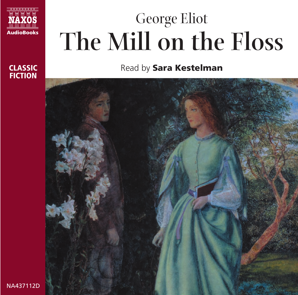

**CLASSIC**

# George Eliot **The Mill on the Floss**

Read by **Sara Kestelman**

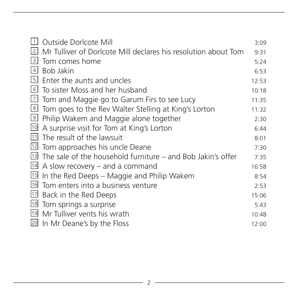| l 1 l | Outside Dorlcote Mill                                          | 3:09  |
|-------|----------------------------------------------------------------|-------|
| 2     | Mr Tulliver of Dorlcote Mill declares his resolution about Tom | 9:31  |
| 3     | Tom comes home                                                 | 5:24  |
| 4     | Bob Jakin                                                      | 6:53  |
| 5     | Enter the aunts and uncles                                     | 12:53 |
| 6     | To sister Moss and her husband                                 | 10:18 |
| 7     | Tom and Maggie go to Garum Firs to see Lucy                    | 11:35 |
| 8     | Tom goes to the Rev Walter Stelling at King's Lorton           | 11:32 |
| 9     | Philip Wakem and Maggie alone together                         | 2:30  |
| 10    | A surprise visit for Tom at King's Lorton                      | 6:44  |
| 11    | The result of the lawsuit                                      | 8:01  |
| 12    | Tom approaches his uncle Deane                                 | 7:30  |
| 13    | The sale of the household furniture – and Bob Jakin's offer    | 7:35  |
| 14    | A slow recovery $-$ and a command                              | 16:58 |
| 15    | In the Red Deeps – Maggie and Philip Wakem                     | 8:54  |
| 16    | Tom enters into a business venture                             | 2:53  |
| 17    | Back in the Red Deeps                                          | 15:06 |
| 18    | Tom springs a surprise                                         | 5:43  |
| 19    | Mr Tulliver vents his wrath                                    | 10:48 |
|       | 20 In Mr Deane's by the Floss                                  | 12:00 |

<u> 1980 - Johann Barn, amerikan bestemannten (</u>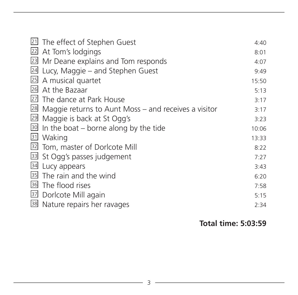|    | [21] The effect of Stephen Guest                          | 4:40  |
|----|-----------------------------------------------------------|-------|
|    | 22 At Tom's lodgings                                      | 8:01  |
|    | 23 Mr Deane explains and Tom responds                     | 4:07  |
| 24 | Lucy, Maggie – and Stephen Guest                          | 9:49  |
|    | 25 A musical quartet                                      | 15:50 |
|    | 26 At the Bazaar                                          | 5:13  |
| 27 | The dance at Park House                                   | 3:17  |
|    | $28$ Maggie returns to Aunt Moss – and receives a visitor | 3:17  |
|    | 29 Maggie is back at St Ogg's                             | 3:23  |
|    | $\boxed{30}$ In the boat – borne along by the tide        | 10:06 |
|    | 31 Waking                                                 | 13:33 |
|    | [32] Tom, master of Dorlcote Mill                         | 8:22  |
|    | 33 St Ogg's passes judgement                              | 7:27  |
|    | 34 Lucy appears                                           | 3:43  |
|    | 35 The rain and the wind                                  | 6:20  |
|    | 36 The flood rises                                        | 7:58  |
|    | 37 Dorlcote Mill again                                    | 5:15  |
|    | <sup>38</sup> Nature repairs her ravages                  | 2:34  |
|    |                                                           |       |

**Total time: 5:03:59**

<u> 1989 - Johann Barn, mars ann an t-Amhair an t-A</u>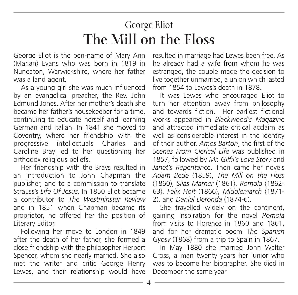# George Eliot **The Mill on the Floss**

George Eliot is the pen-name of Mary Ann (Marian) Evans who was born in 1819 in Nuneaton, Warwickshire, where her father was a land agent.

As a young girl she was much influenced by an evangelical preacher, the Rev. John Edmund Jones. After her mother's death she became her father's housekeeper for a time, continuing to educate herself and learning German and Italian. In 1841 she moved to Coventry, where her friendship with the<br>progressive intellectuals. Charles and progressive intellectuals Caroline Bray led to her questioning her orthodox religious beliefs.

Her friendship with the Brays resulted in an introduction to John Chapman the publisher, and to a commission to translate Strauss's *Life Of Jesus*. In 1850 Eliot became a contributor to *The Westminster Review* and in 1851 when Chapman became its proprietor, he offered her the position of Literary Editor.

Following her move to London in 1849 after the death of her father, she formed a close friendship with the philosopher Herbert Spencer, whom she nearly married. She also met the writer and critic George Henry Lewes, and their relationship would have

resulted in marriage had Lewes been free. As he already had a wife from whom he was estranged, the couple made the decision to live together unmarried, a union which lasted from 1854 to Lewes's death in 1878

It was Lewes who encouraged Eliot to turn her attention away from philosophy and towards fiction. Her earliest fictional works appeared in *Blackwood's Magazine* and attracted immediate critical acclaim as well as considerable interest in the identity of their author. *Amos Barton*, the first of the *Scenes From Clerical Life* was published in 1857, followed by *Mr. Gilfil's Love Story* and *Janet's Repentance*. Then came her novels *Adam Bede* (1859), *The Mill on the Floss* (1860), *Silas Marner* (1861), *Romola* (1862- 63), *Felix Holt* (1866), *Middlemarch* (1871- 2), and *Daniel Deronda* (1874-6).

She travelled widely on the continent, gaining inspiration for the novel *Romola* from visits to Florence in 1860 and 1861, and for her dramatic poem T*he Spanish Gypsy* (1868) from a trip to Spain in 1867.

In May 1880 she married John Walter Cross, a man twenty years her junior who was to become her biographer. She died in December the same year.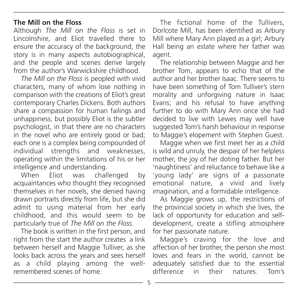### **The Mill on the Floss**

Although *The Mill on the Floss* is set in Lincolnshire, and Eliot travelled there to ensure the accuracy of the background, the story is in many aspects autobiographical, and the people and scenes derive largely from the author's Warwickshire childhood

*The Mill on the Floss* is peopled with vivid characters, many of whom lose nothing in comparison with the creations of Eliot's great contemporary Charles Dickens. Both authors share a compassion for human failings and unhappiness, but possibly Eliot is the subtler psychologist, in that there are no characters in the novel who are entirely good or bad; each one is a complex being compounded of individual strengths and weaknesses, operating within the limitations of his or her intelligence and understanding.<br>When Fliot was chall

Eliot was challenged by acquaintances who thought they recognised themselves in her novels, she denied having drawn portraits directly from life, but she did admit to using material from her early childhood, and this would seem to be particularly true of *The Mill on the Floss*.

The book is written in the first person, and right from the start the author creates a link between herself and Maggie Tulliver, as she looks back across the years and sees herself as a child playing among the wellremembered scenes of home.

The fictional home of the Tullivers Dorlcote Mill, has been identified as Arbury Mill where Mary Ann played as a girl; Arbury Hall being an estate where her father was agent.

The relationship between Maggie and her brother Tom, appears to echo that of the author and her brother Isaac. There seems to have been something of Tom Tulliver's stern morality and unforgiving nature in Isaac Evans; and his refusal to have anything further to do with Mary Ann once she had decided to live with Lewes may well have suggested Tom's harsh behaviour in response to Maggie's elopement with Stephen Guest.

Maggie when we first meet her as a child is wild and unruly, the despair of her helpless mother, the joy of her doting father. But her 'naughtiness' and reluctance to behave like a 'young lady' are signs of a passonate emotional nature, a vivid and lively imagination, and a formidable intelligence.

As Maggie grows up, the restrictions of the provincial society in which she lives, the lack of opportunity for education and selfdevelopment, create a stifling atmosphere for her passionate nature.

Maggie's craving for the love and affection of her brother, the person she most loves and fears in the world, cannot be adequately satisfied due to the essential difference in their natures. Tom's

5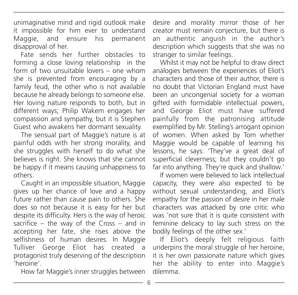unimaginative mind and rigid outlook make it impossible for him ever to understand Maggie, and ensure his permanent disapproval of her.

Fate sends her further obstacles to forming a close loving relationship in the form of two unsuitable lovers – one whom she is prevented from encouraging by a family feud, the other who is not available because he already belongs to someone else. Her loving nature responds to both, but in different ways; Philip Wakem engages her compassion and sympathy, but it is Stephen Guest who awakens her dormant sexuality.

The sensual part of Maggie's nature is at painful odds with her strong morality, and she struggles with herself to do what she believes is right. She knows that she cannot be happy if it means causing unhappiness to others.

Caught in an impossible situation, Maggie gives up her chance of love and a happy future rather than cause pain to others. She does so not because it is easy for her but despite its difficulty. Hers is the way of heroic sacrifice – the way of the Cross – and in accepting her fate, she rises above the selfishness of human desires. In Maggie Tulliver George Eliot has created a protagonist truly deserving of the description 'heroine'.

How far Maggie's inner struggles between

desire and morality mirror those of her creator must remain conjecture, but there is an authentic anguish in the author's description which suggests that she was no stranger to similar feelings.

Whilst it may not be helpful to draw direct analogies between the experiences of Eliot's characters and those of their author, there is no doubt that Victorian England must have been an uncongenial society for a woman gifted with formidable intellectual powers, and George Eliot must have suffered painfully from the patronising attitude exemplified by Mr. Stelling's arrogant opinion of women. When asked by Tom whether Maggie would be capable of learning his lessons, he says: 'They've a great deal of superficial cleverness; but they couldn't go far into anything. They're quick and shallow.'

If women were believed to lack intellectual capacity, they were also expected to be without sexual understanding, and Eliot's empathy for the passion of desire in her male characters was attacked by one critic who was 'not sure that it is quite consistent with feminine delicacy to lay such stress on the bodily feelings of the other sex.'

If Eliot's deeply felt religious faith underpins the moral struggle of her heroine. it is her own passionate nature which gives her the ability to enter into Maggie's dilemma.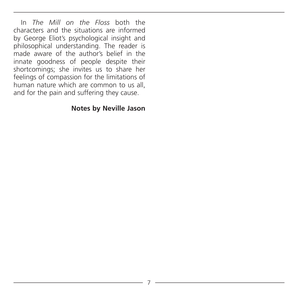In *The Mill on the Floss* both the characters and the situations are informed by George Eliot's psychological insight and philosophical understanding. The reader is made aware of the author's belief in the innate goodness of people despite their shortcomings; she invites us to share her feelings of compassion for the limitations of human nature which are common to us all, and for the pain and suffering they cause.

#### **Notes by Neville Jason**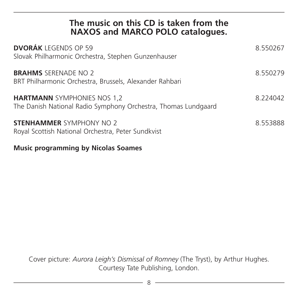## **The music on this CD is taken from the NAXOS and MARCO POLO catalogues.**

| <b>DVORÁK LEGENDS OP 59</b><br>Slovak Philharmonic Orchestra, Stephen Gunzenhauser                   | 8.550267 |
|------------------------------------------------------------------------------------------------------|----------|
| <b>BRAHMS</b> SERENADE NO 2<br>BRT Philharmonic Orchestra, Brussels, Alexander Rahbari               | 8.550279 |
| <b>HARTMANN</b> SYMPHONIES NOS 1,2<br>The Danish National Radio Symphony Orchestra, Thomas Lundgaard | 8.224042 |
| <b>STENHAMMER</b> SYMPHONY NO 2<br>Royal Scottish National Orchestra, Peter Sundkvist                | 8.553888 |

#### **Music programming by Nicolas Soames**

Cover picture: *Aurora Leigh's Dismissal of Romney* (The Tryst), by Arthur Hughes. Courtesy Tate Publishing, London.